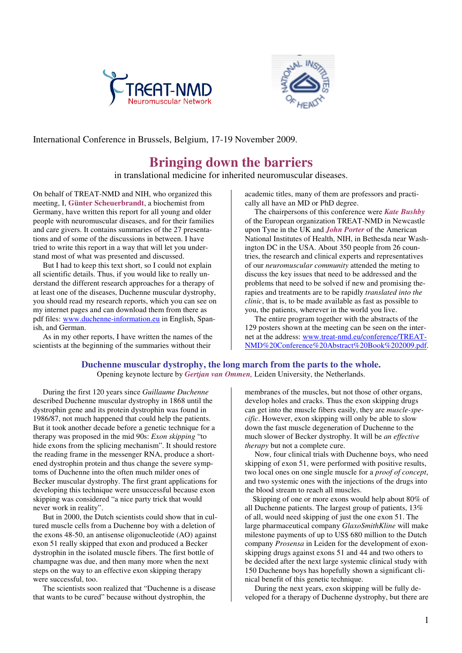



International Conference in Brussels, Belgium, 17-19 November 2009.

# **Bringing down the barriers**

in translational medicine for inherited neuromuscular diseases.

On behalf of TREAT-NMD and NIH, who organized this meeting, I, **Günter Scheuerbrandt**, a biochemist from Germany, have written this report for all young and older people with neuromuscular diseases, and for their families and care givers. It contains summaries of the 27 presentations and of some of the discussions in between. I have tried to write this report in a way that will let you understand most of what was presented and discussed.

 But I had to keep this text short, so I could not explain all scientific details. Thus, if you would like to really understand the different research approaches for a therapy of at least one of the diseases, Duchenne muscular dystrophy, you should read my research reports, which you can see on my internet pages and can download them from there as pdf files: www.duchenne-information.eu in English, Spanish, and German.

 As in my other reports, I have written the names of the scientists at the beginning of the summaries without their

academic titles, many of them are professors and practically all have an MD or PhD degree.

 The chairpersons of this conference were *Kate Bushby*  of the European organization TREAT-NMD in Newcastle upon Tyne in the UK and *John Porter* of the American National Institutes of Health, NIH, in Bethesda near Washington DC in the USA. About 350 people from 26 countries, the research and clinical experts and representatives of our *neuromuscular community* attended the meting to discuss the key issues that need to be addressed and the problems that need to be solved if new and promising therapies and treatments are to be rapidly *translated into the clinic*, that is, to be made available as fast as possible to you, the patients, wherever in the world you live.

 The entire program together with the abstracts of the 129 posters shown at the meeting can be seen on the internet at the address: www.treat-nmd.eu/conference/TREAT-NMD%20Conference%20Abstract%20Book%202009.pdf.

# **Duchenne muscular dystrophy, the long march from the parts to the whole.** Opening keynote lecture by *Gertjan van Ommen,* Leiden University, the Netherlands.

 During the first 120 years since *Guillaume Duchenne*  described Duchenne muscular dystrophy in 1868 until the dystrophin gene and its protein dystrophin was found in 1986/87, not much happened that could help the patients. But it took another decade before a genetic technique for a therapy was proposed in the mid 90s: *Exon skipping* "to hide exons from the splicing mechanism". It should restore the reading frame in the messenger RNA, produce a shortened dystrophin protein and thus change the severe symptoms of Duchenne into the often much milder ones of Becker muscular dystrophy. The first grant applications for developing this technique were unsuccessful because exon skipping was considered "a nice party trick that would never work in reality".

 But in 2000, the Dutch scientists could show that in cultured muscle cells from a Duchenne boy with a deletion of the exons 48-50, an antisense oligonucleotide (AO) against exon 51 really skipped that exon and produced a Becker dystrophin in the isolated muscle fibers. The first bottle of champagne was due, and then many more when the next steps on the way to an effective exon skipping therapy were successful, too.

 The scientists soon realized that "Duchenne is a disease that wants to be cured" because without dystrophin, the

membranes of the muscles, but not those of other organs, develop holes and cracks. Thus the exon skipping drugs can get into the muscle fibers easily, they are *muscle-specific*. However, exon skipping will only be able to slow down the fast muscle degeneration of Duchenne to the much slower of Becker dystrophy. It will be *an effective therapy* but not a complete cure.

 Now, four clinical trials with Duchenne boys, who need skipping of exon 51, were performed with positive results, two local ones on one single muscle for a *proof of concept*, and two systemic ones with the injections of the drugs into the blood stream to reach all muscles.

 Skipping of one or more exons would help about 80% of all Duchenne patients. The largest group of patients, 13% of all, would need skipping of just the one exon 51. The large pharmaceutical company *GlaxoSmithKline* will make milestone payments of up to US\$ 680 million to the Dutch company *Prosensa* in Leiden for the development of exonskipping drugs against exons 51 and 44 and two others to be decided after the next large systemic clinical study with 150 Duchenne boys has hopefully shown a significant clinical benefit of this genetic technique.

 During the next years, exon skipping will be fully developed for a therapy of Duchenne dystrophy, but there are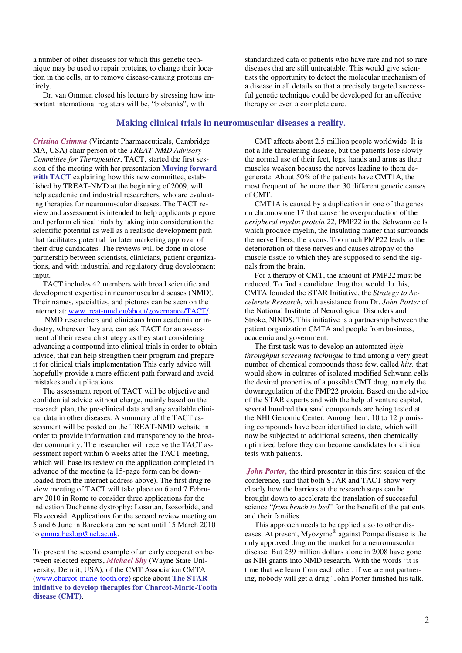a number of other diseases for which this genetic technique may be used to repair proteins, to change their location in the cells, or to remove disease-causing proteins entirely.

 Dr. van Ommen closed his lecture by stressing how important international registers will be, "biobanks", with

**Making clinical trials in neuromuscular diseases a reality.**

*Cristina Csimma* (Virdante Pharmaceuticals, Cambridge MA, USA) chair person of the *TREAT-NMD Advisory Committee for Therapeutics*, TACT, started the first session of the meeting with her presentation **Moving forward with TACT** explaining how this new committee, established by TREAT-NMD at the beginning of 2009, will help academic and industrial researchers, who are evaluating therapies for neuromuscular diseases. The TACT review and assessment is intended to help applicants prepare and perform clinical trials by taking into consideration the scientific potential as well as a realistic development path that facilitates potential for later marketing approval of their drug candidates. The reviews will be done in close partnership between scientists, clinicians, patient organizations, and with industrial and regulatory drug development input.

 TACT includes 42 members with broad scientific and development expertise in neuromuscular diseases (NMD). Their names, specialties, and pictures can be seen on the internet at: www.treat-nmd.eu/about/governance/TACT/.

 NMD researchers and clinicians from academia or industry, wherever they are, can ask TACT for an assessment of their research strategy as they start considering advancing a compound into clinical trials in order to obtain advice, that can help strengthen their program and prepare it for clinical trials implementation This early advice will hopefully provide a more efficient path forward and avoid mistakes and duplications.

 The assessment report of TACT will be objective and confidential advice without charge, mainly based on the research plan, the pre-clinical data and any available clinical data in other diseases. A summary of the TACT assessment will be posted on the TREAT-NMD website in order to provide information and transparency to the broader community. The researcher will receive the TACT assessment report within 6 weeks after the TACT meeting, which will base its review on the application completed in advance of the meeting (a 15-page form can be downloaded from the internet address above). The first drug review meeting of TACT will take place on 6 and 7 February 2010 in Rome to consider three applications for the indication Duchenne dystrophy: Losartan, Isosorbide, and Flavocosid. Applications for the second review meeting on 5 and 6 June in Barcelona can be sent until 15 March 2010 to emma.heslop@ncl.ac.uk.

To present the second example of an early cooperation between selected experts, *Michael Shy* (Wayne State University, Detroit, USA), of the CMT Association CMTA (www.charcot-marie-tooth.org) spoke about **The STAR initiative to develop therapies for Charcot-Marie-Tooth disease (CMT)**.

standardized data of patients who have rare and not so rare diseases that are still untreatable. This would give scientists the opportunity to detect the molecular mechanism of a disease in all details so that a precisely targeted successful genetic technique could be developed for an effective therapy or even a complete cure.

 CMT affects about 2.5 million people worldwide. It is not a life-threatening disease, but the patients lose slowly the normal use of their feet, legs, hands and arms as their muscles weaken because the nerves leading to them degenerate. About 50% of the patients have CMT1A, the most frequent of the more then 30 different genetic causes of CMT.

 CMT1A is caused by a duplication in one of the genes on chromosome 17 that cause the overproduction of the *peripheral myelin protein 22*, PMP22 in the Schwann cells which produce myelin, the insulating matter that surrounds the nerve fibers, the axons. Too much PMP22 leads to the deterioration of these nerves and causes atrophy of the muscle tissue to which they are supposed to send the signals from the brain.

 For a therapy of CMT, the amount of PMP22 must be reduced. To find a candidate drug that would do this, CMTA founded the STAR Initiative, the *Strategy to Accelerate Research*, with assistance from Dr. *John Porter* of the National Institute of Neurological Disorders and Stroke, NINDS. This initiative is a partnership between the patient organization CMTA and people from business, academia and government.

 The first task was to develop an automated *high throughput screening technique* to find among a very great number of chemical compounds those few, called *hits,* that would show in cultures of isolated modified Schwann cells the desired properties of a possible CMT drug, namely the downregulation of the PMP22 protein. Based on the advice of the STAR experts and with the help of venture capital, several hundred thousand compounds are being tested at the NHI Genomic Center. Among them, 10 to 12 promising compounds have been identified to date, which will now be subjected to additional screens, then chemically optimized before they can become candidates for clinical tests with patients.

*John Porter,* the third presenter in this first session of the conference, said that both STAR and TACT show very clearly how the barriers at the research steps can be brought down to accelerate the translation of successful science "*from bench to bed*" for the benefit of the patients and their families.

 This approach needs to be applied also to other diseases. At present, Myozyme® against Pompe disease is the only approved drug on the market for a neuromuscular disease. But 239 million dollars alone in 2008 have gone as NIH grants into NMD research. With the words "it is time that we learn from each other; if we are not partnering, nobody will get a drug" John Porter finished his talk.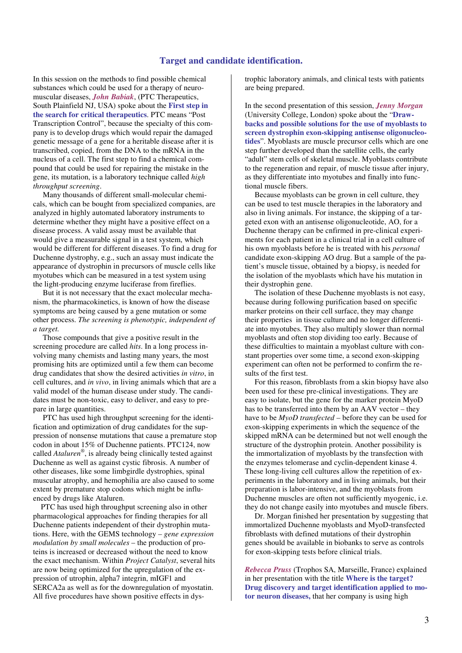# **Target and candidate identification.**

In this session on the methods to find possible chemical substances which could be used for a therapy of neuromuscular diseases, *John Babiak*, (PTC Therapeutics, South Plainfield NJ, USA) spoke about the **First step in the search for critical therapeutics**. PTC means "Post Transcription Control", because the specialty of this company is to develop drugs which would repair the damaged genetic message of a gene for a heritable disease after it is transcribed, copied, from the DNA to the mRNA in the nucleus of a cell. The first step to find a chemical compound that could be used for repairing the mistake in the gene, its mutation, is a laboratory technique called *high throughput screening*.

 Many thousands of different small-molecular chemicals, which can be bought from specialized companies, are analyzed in highly automated laboratory instruments to determine whether they might have a positive effect on a disease process. A valid assay must be available that would give a measurable signal in a test system, which would be different for different diseases. To find a drug for Duchenne dystrophy, e.g., such an assay must indicate the appearance of dystrophin in precursors of muscle cells like myotubes which can be measured in a test system using the light-producing enzyme luciferase from fireflies.

 But it is not necessary that the exact molecular mechanism, the pharmacokinetics, is known of how the disease symptoms are being caused by a gene mutation or some other process. *The screening is phenotypic, independent of a target.* 

 Those compounds that give a positive result in the screening procedure are called *hits*. In a long process involving many chemists and lasting many years, the most promising hits are optimized until a few them can become drug candidates that show the desired activities *in vitro*, in cell cultures, and *in vivo*, in living animals which that are a valid model of the human disease under study. The candidates must be non-toxic, easy to deliver, and easy to prepare in large quantities.

 PTC has used high throughput screening for the identification and optimization of drug candidates for the suppression of nonsense mutations that cause a premature stop codon in about 15% of Duchenne patients. PTC124, now called *Ataluren®* , is already being clinically tested against Duchenne as well as against cystic fibrosis. A number of other diseases, like some limbgirdle dystrophies, spinal muscular atrophy, and hemophilia are also caused to some extent by premature stop codons which might be influenced by drugs like Ataluren.

 PTC has used high throughput screening also in other pharmacological approaches for finding therapies for all Duchenne patients independent of their dystrophin mutations. Here, with the GEMS technology – *gene expression modulation by small molecules* – the production of proteins is increased or decreased without the need to know the exact mechanism. Within *Project Catalyst*, several hits are now being optimized for the upregulation of the expression of utrophin, alpha7 integrin, mIGF1 and SERCA2a as well as for the downregulation of myostatin. All five procedures have shown positive effects in dystrophic laboratory animals, and clinical tests with patients are being prepared.

In the second presentation of this session, *Jenny Morgan*  (University College, London) spoke about the "**Drawbacks and possible solutions for the use of myoblasts to screen dystrophin exon-skipping antisense oligonucleotides**". Myoblasts are muscle precursor cells which are one step further developed than the satellite cells, the early "adult" stem cells of skeletal muscle. Myoblasts contribute to the regeneration and repair, of muscle tissue after injury, as they differentiate into myotubes and finally into functional muscle fibers.

 Because myoblasts can be grown in cell culture, they can be used to test muscle therapies in the laboratory and also in living animals. For instance, the skipping of a targeted exon with an antisense oligonucleotide, AO, for a Duchenne therapy can be cnfirmed in pre-clinical experiments for each patient in a clinical trial in a cell culture of his own myoblasts before he is treated with his *personal*  candidate exon-skipping AO drug. But a sample of the patient's muscle tissue, obtained by a biopsy, is needed for the isolation of the myoblasts which have his mutation in their dystrophin gene.

 The isolation of these Duchenne myoblasts is not easy, because during following purification based on specific marker proteins on their cell surface, they may change their properties in tissue culture and no longer differentiate into myotubes. They also multiply slower than normal myoblasts and often stop dividing too early. Because of these difficulties to maintain a myoblast culture with constant properties over some time, a second exon-skipping experiment can often not be performed to confirm the results of the first test.

 For this reason, fibroblasts from a skin biopsy have also been used for these pre-clinical investigations. They are easy to isolate, but the gene for the marker protein MyoD has to be transferred into them by an AAV vector – they have to be *MyoD transfected* – before they can be used for exon-skipping experiments in which the sequence of the skipped mRNA can be determined but not well enough the structure of the dystrophin protein. Another possibility is the immortalization of myoblasts by the transfection with the enzymes telomerase and cyclin-dependent kinase 4. These long-living cell cultures allow the repetition of experiments in the laboratory and in living animals, but their preparation is labor-intensive, and the myoblasts from Duchenne muscles are often not sufficiently myogenic, i.e. they do not change easily into myotubes and muscle fibers.

 Dr. Morgan finished her presentation by suggesting that immortalized Duchenne myoblasts and MyoD-transfected fibroblasts with defined mutations of their dystrophin genes should be available in biobanks to serve as controls for exon-skipping tests before clinical trials.

*Rebecca Pruss* (Trophos SA, Marseille, France) explained in her presentation with the title **Where is the target? Drug discovery and target identification applied to motor neuron diseases,** that her company is using high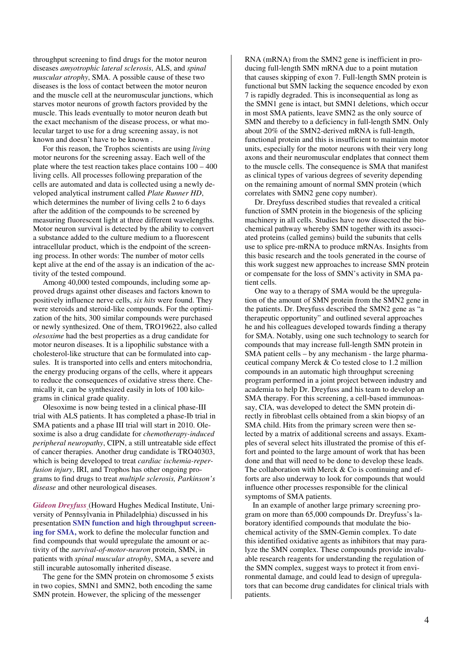throughput screening to find drugs for the motor neuron diseases *amyotrophic lateral sclerosis*, ALS, and *spinal muscular atrophy*, SMA. A possible cause of these two diseases is the loss of contact between the motor neuron and the muscle cell at the neuromuscular junctions, which starves motor neurons of growth factors provided by the muscle. This leads eventually to motor neuron death but the exact mechanism of the disease process, or what molecular target to use for a drug screening assay, is not known and doesn't have to be known .

 For this reason, the Trophos scientists are using *living*  motor neurons for the screening assay. Each well of the plate where the test reaction takes place contains 100 – 400 living cells. All processes following preparation of the cells are automated and data is collected using a newly developed analytical instrument called *Plate Runner HD*, which determines the number of living cells 2 to 6 days after the addition of the compounds to be screened by measuring fluorescent light at three different wavelengths. Motor neuron survival is detected by the ability to convert a substance added to the culture medium to a fluorescent intracellular product, which is the endpoint of the screening process. In other words: The number of motor cells kept alive at the end of the assay is an indication of the activity of the tested compound.

 Among 40,000 tested compounds, including some approved drugs against other diseases and factors known to positively influence nerve cells, *six hits* were found. They were steroids and steroid-like compounds. For the optimization of the hits, 300 similar compounds were purchased or newly synthesized. One of them, TRO19622, also called *olesoxime* had the best properties as a drug candidate for motor neuron diseases. It is a lipophilic substance with a cholesterol-like structure that can be formulated into capsules. It is transported into cells and enters mitochondria, the energy producing organs of the cells, where it appears to reduce the consequences of oxidative stress there. Chemically it, can be synthesized easily in lots of 100 kilograms in clinical grade quality.

 Olesoxime is now being tested in a clinical phase-III trial with ALS patients. It has completed a phase-Ib trial in SMA patients and a phase III trial will start in 2010. Olesoxime is also a drug candidate for *chemotherapy-induced peripheral neuropathy*, CIPN, a still untreatable side effect of cancer therapies. Another drug candidate is TRO40303, which is being developed to treat *cardiac ischemia-reperfusion injury*, IRI, and Trophos has other ongoing programs to find drugs to treat *multiple sclerosis, Parkinson's disease* and other neurological diseases.

*Gideon Dreyfuss* (Howard Hughes Medical Institute, University of Pennsylvania in Philadelphia) discussed in his presentation **SMN function and high throughput screening for SMA,** work to define the molecular function and find compounds that would upregulate the amount or activity of the *survival-of-motor-neuron* protein, SMN, in patients with *spinal muscular atrophy*, SMA, a severe and still incurable autosomally inherited disease.

 The gene for the SMN protein on chromosome 5 exists in two copies, SMN1 and SMN2, both encoding the same SMN protein. However, the splicing of the messenger

RNA (mRNA) from the SMN2 gene is inefficient in producing full-length SMN mRNA due to a point mutation that causes skipping of exon 7. Full-length SMN protein is functional but SMN lacking the sequence encoded by exon 7 is rapidly degraded. This is inconsequential as long as the SMN1 gene is intact, but SMN1 deletions, which occur in most SMA patients, leave SMN2 as the only source of SMN and thereby to a deficiency in full-length SMN. Only about 20% of the SMN2-derived mRNA is full-length, functional protein and this is insufficient to maintain motor units, especially for the motor neurons with their very long axons and their neuromuscular endplates that connect them to the muscle cells. The consequence is SMA that manifest as clinical types of various degrees of severity depending on the remaining amount of normal SMN protein (which correlates with SMN2 gene copy number).

 Dr. Dreyfuss described studies that revealed a critical function of SMN protein in the biogenesis of the splicing machinery in all cells. Studies have now dissected the biochemical pathway whereby SMN together with its associated proteins (called gemins) build the subunits that cells use to splice pre-mRNA to produce mRNAs. Insights from this basic research and the tools generated in the course of this work suggest new approaches to increase SMN protein or compensate for the loss of SMN's activity in SMA patient cells.

 One way to a therapy of SMA would be the upregulation of the amount of SMN protein from the SMN2 gene in the patients. Dr. Dreyfuss described the SMN2 gene as "a therapeutic opportunity" and outlined several approaches he and his colleagues developed towards finding a therapy for SMA. Notably, using one such technology to search for compounds that may increase full-length SMN protein in SMA patient cells – by any mechanism - the large pharmaceutical company Merck & Co tested close to 1.2 million compounds in an automatic high throughput screening program performed in a joint project between industry and academia to help Dr. Dreyfuss and his team to develop an SMA therapy. For this screening, a cell-based immunoassay, CIA, was developed to detect the SMN protein directly in fibroblast cells obtained from a skin biopsy of an SMA child. Hits from the primary screen were then selected by a matrix of additional screens and assays. Examples of several select hits illustrated the promise of this effort and pointed to the large amount of work that has been done and that will need to be done to develop these leads. The collaboration with Merck  $&$  Co is continuing and efforts are also underway to look for compounds that would influence other processes responsible for the clinical symptoms of SMA patients.

 In an example of another large primary screening program on more than 65,000 compounds Dr. Dreyfuss's laboratory identified compounds that modulate the biochemical activity of the SMN-Gemin complex. To date this identified oxidative agents as inhibitors that may paralyze the SMN complex. These compounds provide invaluable research reagents for understanding the regulation of the SMN complex, suggest ways to protect it from environmental damage, and could lead to design of upregulators that can become drug candidates for clinical trials with patients.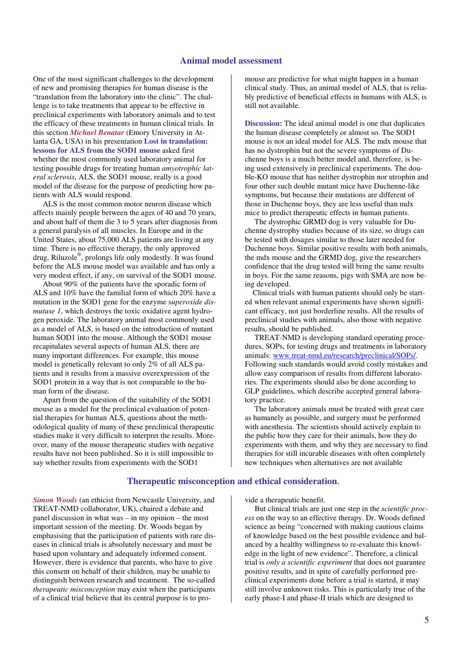### **Animal model assessment**

One of the most significant challenges to the development of new and promising therapies for human disease is the "translation from the laboratory into the clinic". The challenge is to take treatments that appear to be effective in preclinical experiments with laboratory animals and to test the efficacy of these treatments in human clinical trials. In this section *Michael Benatar* (Emory University in Atlanta GA, USA) in his presentation **Lost in translation: lessons for ALS from the SOD1 mouse** asked first whether the most commonly used laboratory animal for testing possible drugs for treating human *amyotrophic lateral sclerosis*, ALS, the SOD1 mouse, really is a good model of the disease for the purpose of predicting how patients with ALS would respond.

 ALS is the most common motor neuron disease which affects mainly people between the ages of 40 and 70 years, and about half of them die 3 to 5 years after diagnosis from a general paralysis of all muscles. In Europe and in the United States, about 75,000 ALS patients are living at any time. There is no effective therapy, the only approved drug, Riluzole® , prolongs life only modestly. It was found before the ALS mouse model was available and has only a very modest effect, if any, on survival of the SOD1 mouse.

 About 90% of the patients have the sporadic form of ALS and 10% have the familial form of which 20% have a mutation in the SOD1 gene for the enzyme s*uperoxide dismutase 1*, which destroys the toxic oxidative agent hydrogen peroxide. The laboratory animal most commonly used as a model of ALS, is based on the introduction of mutant human SOD1 into the mouse. Although the SOD1 mouse recapitulates several aspects of human ALS, there are many important differences. For example, this mouse model is genetically relevant to only 2% of all ALS patients and it results from a massive overexpression of the SOD1 protein in a way that is not comparable to the human form of the disease.

 Apart from the question of the suitability of the SOD1 mouse as a model for the preclinical evaluation of potential therapies for human ALS, questions about the methodological quality of many of these preclinical therapeutic studies make it very difficult to interpret the results. Moreover, many of the mouse therapeutic studies with negative results have not been published. So it is still impossible to say whether results from experiments with the SOD1

mouse are predictive for what might happen in a human clinical study. Thus, an animal model of ALS, that is reliably predictive of beneficial effects in humans with ALS, is still not available.

**Discussion:** The ideal animal model is one that duplicates the human disease completely or almost so. The SOD1 mouse is not an ideal model for ALS. The mdx mouse that has no dystrophin but not the severe symptoms of Duchenne boys is a much better model and, therefore, is being used extensively in preclinical experiments. The double-KO mouse that has neither dystrophin nor utrophin and four other such double mutant mice have Duchenne-like symptoms, but because their mutations are different of those in Duchenne boys, they are less useful than mdx mice to predict therapeutic effects in human patients.

 The dystrophic GRMD dog is very valuable for Duchenne dystrophy studies because of its size, so drugs can be tested with dosages similar to those later needed for Duchenne boys. Similar positive results with both animals, the mdx mouse and the GRMD dog, give the researchers confidence that the drug tested will bring the same results in boys. For the same reasons, pigs with SMA are now being developed.

 Clinical trials with human patients should only be started when relevant animal experiments have shown significant efficacy, not just borderline results. All the results of preclinical studies with animals, also those with negative results, should be published.

 TREAT-NMD is developing standard operating procedures, SOPs, for testing drugs and treatments in laboratory animals: www.treat-nmd.eu/research/preclinical/SOPs/. Following such standards would avoid costly mistakes and allow easy comparison of results from different laboratories. The experiments should also be done according to GLP guidelines, which describe accepted general laboratory practice.

 The laboratory animals must be treated with great care as humanely as possible, and surgery must be performed with anesthesia. The scientists should actively explain to the public how they care for their animals, how they do experiments with them, and why they are necessary to find therapies for still incurable diseases with often completely new techniques when alternatives are not available

# **Therapeutic misconception and ethical consideration.**

*Simon Woods* (an ethicist from Newcastle University, and TREAT-NMD collaborator, UK), chaired a debate and panel discussion in what was – in my opinion – the most important session of the meeting. Dr. Woods began by emphasising that the participation of patients with rare diseases in clinical trials is absolutely necessary and must be based upon voluntary and adequately informed consent. However, there is evidence that parents, who have to give this consent on behalf of their children, may be unable to distinguish between research and treatment. The so-called *therapeutic misconception* may exist when the participants of a clinical trial believe that its central purpose is to provide a therapeutic benefit.

 But clinical trials are just one step in the *scientific process* on the way to an effective therapy. Dr. Woods defined science as being "concerned with making cautious claims of knowledge based on the best possible evidence and balanced by a healthy willingness to re-evaluate this knowledge in the light of new evidence". Therefore, a clinical trial is *only a scientific experiment* that does not guarantee positive results, and in spite of carefully performed preclinical experiments done before a trial is started, it may still involve unknown risks. This is particularly true of the early phase-I and phase-II trials which are designed to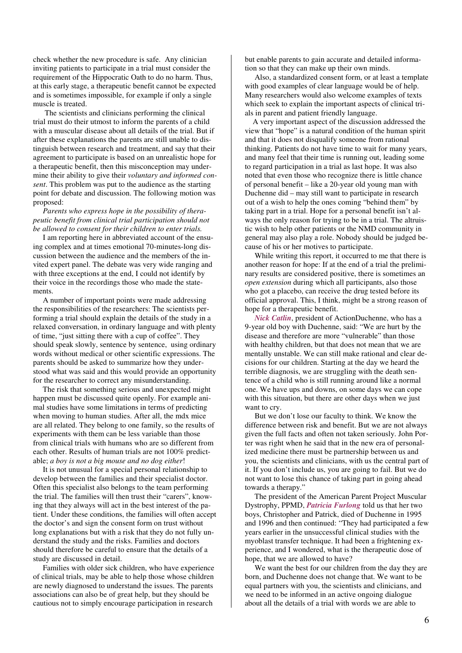check whether the new procedure is safe. Any clinician inviting patients to participate in a trial must consider the requirement of the Hippocratic Oath to do no harm. Thus, at this early stage, a therapeutic benefit cannot be expected and is sometimes impossible, for example if only a single muscle is treated.

 The scientists and clinicians performing the clinical trial must do their utmost to inform the parents of a child with a muscular disease about all details of the trial. But if after these explanations the parents are still unable to distinguish between research and treatment, and say that their agreement to participate is based on an unrealistic hope for a therapeutic benefit, then this misconception may undermine their ability to give their *voluntary and informed consent*. This problem was put to the audience as the starting point for debate and discussion. The following motion was proposed:

 *Parents who express hope in the possibility of therapeutic benefit from clinical trial participation should not be allowed to consent for their children to enter trials.* 

 I am reporting here in abbreviated account of the ensuing complex and at times emotional 70-minutes-long discussion between the audience and the members of the invited expert panel. The debate was very wide ranging and with three exceptions at the end, I could not identify by their voice in the recordings those who made the statements.

 A number of important points were made addressing the responsibilities of the researchers: The scientists performing a trial should explain the details of the study in a relaxed conversation, in ordinary language and with plenty of time, "just sitting there with a cup of coffee". They should speak slowly, sentence by sentence, using ordinary words without medical or other scientific expressions. The parents should be asked to summarize how they understood what was said and this would provide an opportunity for the researcher to correct any misunderstanding.

 The risk that something serious and unexpected might happen must be discussed quite openly. For example animal studies have some limitations in terms of predicting when moving to human studies. After all, the mdx mice are all related. They belong to one family, so the results of experiments with them can be less variable than those from clinical trials with humans who are so different from each other. Results of human trials are not 100% predictable; *a boy is not a big mouse and no dog either*!

 It is not unusual for a special personal relationship to develop between the families and their specialist doctor. Often this specialist also belongs to the team performing the trial. The families will then trust their "carers", knowing that they always will act in the best interest of the patient. Under these conditions, the families will often accept the doctor's and sign the consent form on trust without long explanations but with a risk that they do not fully understand the study and the risks. Families and doctors should therefore be careful to ensure that the details of a study are discussed in detail.

 Families with older sick children, who have experience of clinical trials, may be able to help those whose children are newly diagnosed to understand the issues. The parents associations can also be of great help, but they should be cautious not to simply encourage participation in research

but enable parents to gain accurate and detailed information so that they can make up their own minds.

 Also, a standardized consent form, or at least a template with good examples of clear language would be of help. Many researchers would also welcome examples of texts which seek to explain the important aspects of clinical trials in parent and patient friendly language.

 A very important aspect of the discussion addressed the view that "hope" is a natural condition of the human spirit and that it does not disqualify someone from rational thinking. Patients do not have time to wait for many years, and many feel that their time is running out, leading some to regard participation in a trial as last hope. It was also noted that even those who recognize there is little chance of personal benefit – like a 20-year old young man with Duchenne did – may still want to participate in research out of a wish to help the ones coming "behind them" by taking part in a trial. Hope for a personal benefit isn't always the only reason for trying to be in a trial. The altruistic wish to help other patients or the NMD community in general may also play a role. Nobody should be judged because of his or her motives to participate.

 While writing this report, it occurred to me that there is another reason for hope: If at the end of a trial the preliminary results are considered positive, there is sometimes an *open extension* during which all participants, also those who got a placebo, can receive the drug tested before its official approval. This, I think, might be a strong reason of hope for a therapeutic benefit.

 *Nick Catlin*, president of ActionDuchenne, who has a 9-year old boy with Duchenne, said: "We are hurt by the disease and therefore are more "vulnerable" than those with healthy children, but that does not mean that we are mentally unstable. We can still make rational and clear decisions for our children. Starting at the day we heard the terrible diagnosis, we are struggling with the death sentence of a child who is still running around like a normal one. We have ups and downs, on some days we can cope with this situation, but there are other days when we just want to cry.

 But we don't lose our faculty to think. We know the difference between risk and benefit. But we are not always given the full facts and often not taken seriously. John Porter was right when he said that in the new era of personalized medicine there must be partnership between us and you, the scientists and clinicians, with us the central part of it. If you don't include us, you are going to fail. But we do not want to lose this chance of taking part in going ahead towards a therapy."

 The president of the American Parent Project Muscular Dystrophy, PPMD, *Patricia Furlong* told us that her two boys, Christopher and Patrick, died of Duchenne in 1995 and 1996 and then continued: "They had participated a few years earlier in the unsuccessful clinical studies with the myoblast transfer technique. It had been a frightening experience, and I wondered, what is the therapeutic dose of hope, that we are allowed to have?

 We want the best for our children from the day they are born, and Duchenne does not change that. We want to be equal partners with you, the scientists and clinicians, and we need to be informed in an active ongoing dialogue about all the details of a trial with words we are able to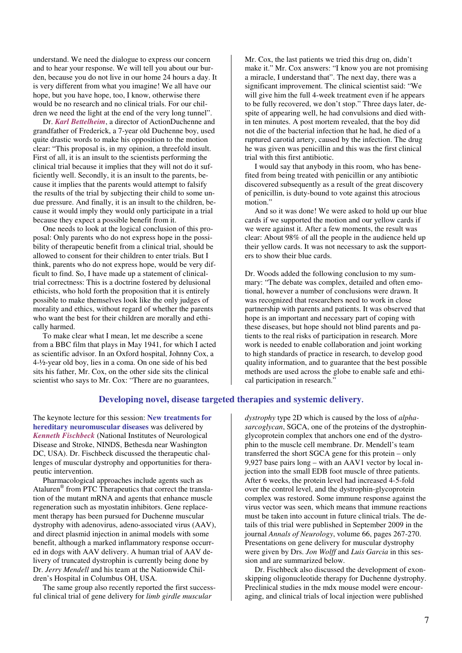understand. We need the dialogue to express our concern and to hear your response. We will tell you about our burden, because you do not live in our home 24 hours a day. It is very different from what you imagine! We all have our hope, but you have hope, too, I know, otherwise there would be no research and no clinical trials. For our children we need the light at the end of the very long tunnel".

 Dr. *Karl Bettelheim*, a director of ActionDuchenne and grandfather of Frederick, a 7-year old Duchenne boy, used quite drastic words to make his opposition to the motion clear: "This proposal is, in my opinion, a threefold insult. First of all, it is an insult to the scientists performing the clinical trial because it implies that they will not do it sufficiently well. Secondly, it is an insult to the parents, because it implies that the parents would attempt to falsify the results of the trial by subjecting their child to some undue pressure. And finally, it is an insult to the children, because it would imply they would only participate in a trial because they expect a possible benefit from it.

 One needs to look at the logical conclusion of this proposal: Only parents who do not express hope in the possibility of therapeutic benefit from a clinical trial, should be allowed to consent for their children to enter trials. But I think, parents who do not express hope, would be very difficult to find. So, I have made up a statement of clinicaltrial correctness: This is a doctrine fostered by delusional ethicists, who hold forth the proposition that it is entirely possible to make themselves look like the only judges of morality and ethics, without regard of whether the parents who want the best for their children are morally and ethically harmed.

 To make clear what I mean, let me describe a scene from a BBC film that plays in May 1941, for which I acted as scientific advisor. In an Oxford hospital, Johnny Cox, a 4-½-year old boy, lies in a coma. On one side of his bed sits his father, Mr. Cox, on the other side sits the clinical scientist who says to Mr. Cox: "There are no guarantees,

Mr. Cox, the last patients we tried this drug on, didn't make it." Mr. Cox answers: "I know you are not promising a miracle, I understand that". The next day, there was a significant improvement. The clinical scientist said: "We will give him the full 4-week treatment even if he appears to be fully recovered, we don't stop." Three days later, despite of appearing well, he had convulsions and died within ten minutes. A post mortem revealed, that the boy did not die of the bacterial infection that he had, he died of a ruptured carotid artery, caused by the infection. The drug he was given was penicillin and this was the first clinical trial with this first antibiotic.

 I would say that anybody in this room, who has benefited from being treated with penicillin or any antibiotic discovered subsequently as a result of the great discovery of penicillin, is duty-bound to vote against this atrocious motion."

 And so it was done! We were asked to hold up our blue cards if we supported the motion and our yellow cards if we were against it. After a few moments, the result was clear: About 98% of all the people in the audience held up their yellow cards. It was not necessary to ask the supporters to show their blue cards.

Dr. Woods added the following conclusion to my summary: "The debate was complex, detailed and often emotional, however a number of conclusions were drawn. It was recognized that researchers need to work in close partnership with parents and patients. It was observed that hope is an important and necessary part of coping with these diseases, but hope should not blind parents and patients to the real risks of participation in research. More work is needed to enable collaboration and joint working to high standards of practice in research, to develop good quality information, and to guarantee that the best possible methods are used across the globe to enable safe and ethical participation in research."

# **Developing novel, disease targeted therapies and systemic delivery.**

The keynote lecture for this session: **New treatments for hereditary neuromuscular diseases** was delivered by *Kenneth Fischbeck* (National Institutes of Neurological Disease and Stroke, NINDS, Bethesda near Washington DC, USA). Dr. Fischbeck discussed the therapeutic challenges of muscular dystrophy and opportunities for therapeutic intervention.

 Pharmacological approaches include agents such as Ataluren® from PTC Therapeutics that correct the translation of the mutant mRNA and agents that enhance muscle regeneration such as myostatin inhibitors. Gene replacement therapy has been pursued for Duchenne muscular dystrophy with adenovirus, adeno-associated virus (AAV), and direct plasmid injection in animal models with some benefit, although a marked inflammatory response occurred in dogs with AAV delivery. A human trial of AAV delivery of truncated dystrophin is currently being done by Dr. *Jerry Mendell* and his team at the Nationwide Children's Hospital in Columbus OH, USA.

 The same group also recently reported the first successful clinical trial of gene delivery for *limb girdle muscular* 

*dystrophy* type 2D which is caused by the loss of *alphasarcoglycan*, SGCA, one of the proteins of the dystrophinglycoprotein complex that anchors one end of the dystrophin to the muscle cell membrane. Dr. Mendell's team transferred the short SGCA gene for this protein – only 9,927 base pairs long – with an AAV1 vector by local injection into the small EDB foot muscle of three patients. After 6 weeks, the protein level had increased 4-5-fold over the control level, and the dystrophin-glycoprotein complex was restored. Some immune response against the virus vector was seen, which means that immune reactions must be taken into account in future clinical trials. The details of this trial were published in September 2009 in the journal *Annals of Neurology*, volume 66, pages 267-270. Presentations on gene delivery for muscular dystrophy were given by Drs. *Jon Wolff* and *Luis Garcia* in this session and are summarized below.

 Dr. Fischbeck also discussed the development of exonskipping oligonucleotide therapy for Duchenne dystrophy. Preclinical studies in the mdx mouse model were encouraging, and clinical trials of local injection were published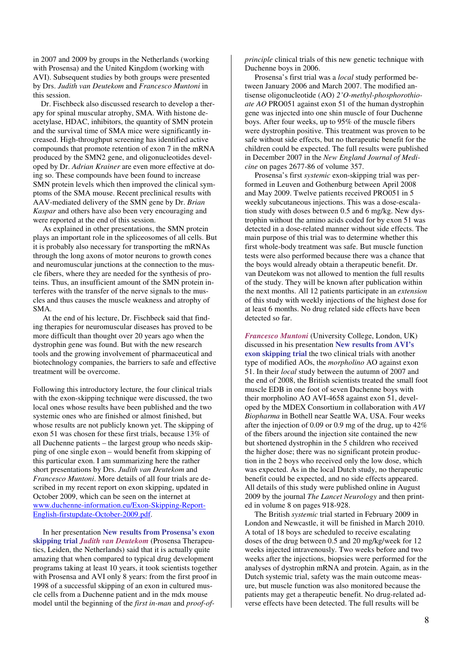in 2007 and 2009 by groups in the Netherlands (working with Prosensa) and the United Kingdom (working with AVI). Subsequent studies by both groups were presented by Drs. *Judith van Deutekom* and *Francesco Muntoni* in this session.

 Dr. Fischbeck also discussed research to develop a therapy for spinal muscular atrophy, SMA. With histone deacetylase, HDAC, inhibitors, the quantity of SMN protein and the survival time of SMA mice were significantly increased. High-throughput screening has identified active compounds that promote retention of exon 7 in the mRNA produced by the SMN2 gene, and oligonucleotides developed by Dr. *Adrian Krainer* are even more effective at doing so. These compounds have been found to increase SMN protein levels which then improved the clinical symptoms of the SMA mouse. Recent preclinical results with AAV-mediated delivery of the SMN gene by Dr. *Brian Kaspar* and others have also been very encouraging and were reported at the end of this session.

 As explained in other presentations, the SMN protein plays an important role in the spliceosomes of all cells. But it is probably also necessary for transporting the mRNAs through the long axons of motor neurons to growth cones and neuromuscular junctions at the connection to the muscle fibers, where they are needed for the synthesis of proteins. Thus, an insufficient amount of the SMN protein interferes with the transfer of the nerve signals to the muscles and thus causes the muscle weakness and atrophy of SMA.

 At the end of his lecture, Dr. Fischbeck said that finding therapies for neuromuscular diseases has proved to be more difficult than thought over 20 years ago when the dystrophin gene was found. But with the new research tools and the growing involvement of pharmaceutical and biotechnology companies, the barriers to safe and effective treatment will be overcome.

Following this introductory lecture, the four clinical trials with the exon-skipping technique were discussed, the two local ones whose results have been published and the two systemic ones who are finished or almost finished, but whose results are not publicly known yet. The skipping of exon 51 was chosen for these first trials, because 13% of all Duchenne patients – the largest group who needs skipping of one single exon – would benefit from skipping of this particular exon. I am summarizing here the rather short presentations by Drs. *Judith van Deutekom* and *Francesco Muntoni*. More details of all four trials are described in my recent report on exon skipping, updated in October 2009, which can be seen on the internet at www.duchenne-information.eu/Exon-Skipping-Report-English-firstupdate-October-2009.pdf.

 In her presentation **New results from Prosensa's exon skipping trial** *Judith van Deutekom* (Prosensa Therapeutics, Leiden, the Netherlands) said that it is actually quite amazing that when compared to typical drug development programs taking at least 10 years, it took scientists together with Prosensa and AVI only 8 years: from the first proof in 1998 of a successful skipping of an exon in cultured muscle cells from a Duchenne patient and in the mdx mouse model until the beginning of the *first in-man* and *proof-of-* *principle* clinical trials of this new genetic technique with Duchenne boys in 2006.

 Prosensa's first trial was a *local* study performed between January 2006 and March 2007. The modified antisense oligonucleotide (AO) *2'O-methyl-phosphorothioate AO* PRO051 against exon 51 of the human dystrophin gene was injected into one shin muscle of four Duchenne boys. After four weeks, up to 95% of the muscle fibers were dystrophin positive. This treatment was proven to be safe without side effects, but no therapeutic benefit for the children could be expected. The full results were published in December 2007 in the *New England Journal of Medicine* on pages 2677-86 of volume 357.

 Prosensa's first *systemic* exon-skipping trial was performed in Leuven and Gothenburg between April 2008 and May 2009. Twelve patients received PRO051 in 5 weekly subcutaneous injections. This was a dose-escalation study with doses between 0.5 and 6 mg/kg. New dystrophin without the amino acids coded for by exon 51 was detected in a dose-related manner without side effects. The main purpose of this trial was to determine whether this first whole-body treatment was safe. But muscle function tests were also performed because there was a chance that the boys would already obtain a therapeutic benefit. Dr. van Deutekom was not allowed to mention the full results of the study. They will be known after publication within the next months. All 12 patients participate in an *extension*  of this study with weekly injections of the highest dose for at least 6 months. No drug related side effects have been detected so far.

*Francesco Muntoni* (University College, London, UK) discussed in his presentation **New results from AVI's exon skipping trial** the two clinical trials with another type of modified AOs, the *morpholino* AO against exon 51. In their *local* study between the autumn of 2007 and the end of 2008, the British scientists treated the small foot muscle EDB in one foot of seven Duchenne boys with their morpholino AO AVI-4658 against exon 51, developed by the MDEX Consortium in collaboration with *AVI Biopharma* in Bothell near Seattle WA, USA. Four weeks after the injection of 0.09 or 0.9 mg of the drug, up to 42% of the fibers around the injection site contained the new but shortened dystrophin in the 5 children who received the higher dose; there was no significant protein production in the 2 boys who received only the low dose, which was expected. As in the local Dutch study, no therapeutic benefit could be expected, and no side effects appeared. All details of this study were published online in August 2009 by the journal *The Lancet Neurology* and then printed in volume 8 on pages 918-928.

 The British *systemic* trial started in February 2009 in London and Newcastle, it will be finished in March 2010. A total of 18 boys are scheduled to receive escalating doses of the drug between 0.5 and 20 mg/kg/week for 12 weeks injected intravenously. Two weeks before and two weeks after the injections, biopsies were performed for the analyses of dystrophin mRNA and protein. Again, as in the Dutch systemic trial, safety was the main outcome measure, but muscle function was also monitored because the patients may get a therapeutic benefit. No drug-related adverse effects have been detected. The full results will be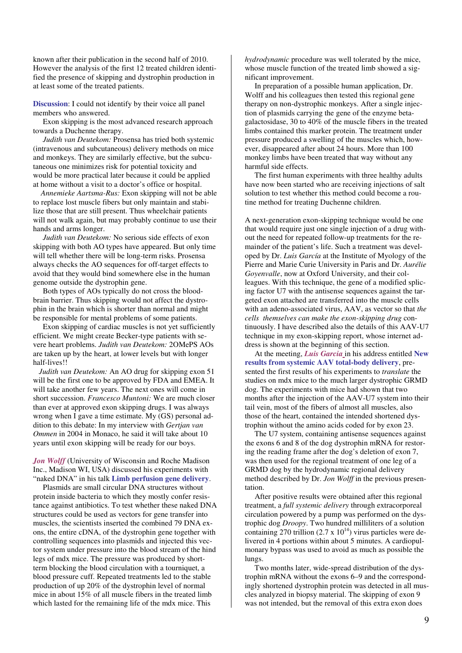known after their publication in the second half of 2010. However the analysis of the first 12 treated children identified the presence of skipping and dystrophin production in at least some of the treated patients.

**Discussion**: I could not identify by their voice all panel members who answered.

 Exon skipping is the most advanced research approach towards a Duchenne therapy.

 *Judith van Deutekom:* Prosensa has tried both systemic (intravenous and subcutaneous) delivery methods on mice and monkeys. They are similarly effective, but the subcutaneous one minimizes risk for potential toxicity and would be more practical later because it could be applied at home without a visit to a doctor's office or hospital.

 *Annemieke Aartsma-Rus:* Exon skipping will not be able to replace lost muscle fibers but only maintain and stabilize those that are still present. Thus wheelchair patients will not walk again, but may probably continue to use their hands and arms longer.

 *Judith van Deutekom:* No serious side effects of exon skipping with both AO types have appeared. But only time will tell whether there will be long-term risks. Prosensa always checks the AO sequences for off-target effects to avoid that they would bind somewhere else in the human genome outside the dystrophin gene.

 Both types of AOs typically do not cross the bloodbrain barrier. Thus skipping would not affect the dystrophin in the brain which is shorter than normal and might be responsible for mental problems of some patients.

 Exon skipping of cardiac muscles is not yet sufficiently efficient. We might create Becker-type patients with severe heart problems. *Judith van Deutekom:* 2OMePS AOs are taken up by the heart, at lower levels but with longer half-lives!!

 *Judith van Deutekom:* An AO drug for skipping exon 51 will be the first one to be approved by FDA and EMEA. It will take another few years. The next ones will come in short succession. *Francesco Muntoni:* We are much closer than ever at approved exon skipping drugs. I was always wrong when I gave a time estimate. My (GS) personal addition to this debate: In my interview with *Gertjan van Ommen* in 2004 in Monaco, he said it will take about 10 years until exon skipping will be ready for our boys.

# Jon Wolff (University of Wisconsin and Roche Madison Inc., Madison WI, USA) discussed his experiments with "naked DNA" in his talk **Limb perfusion gene delivery**.

 Plasmids are small circular DNA structures without protein inside bacteria to which they mostly confer resistance against antibiotics. To test whether these naked DNA structures could be used as vectors for gene transfer into muscles, the scientists inserted the combined 79 DNA exons, the entire cDNA, of the dystrophin gene together with controlling sequences into plasmids and injected this vector system under pressure into the blood stream of the hind legs of mdx mice. The pressure was produced by shortterm blocking the blood circulation with a tourniquet, a blood pressure cuff. Repeated treatments led to the stable production of up 20% of the dystrophin level of normal mice in about 15% of all muscle fibers in the treated limb which lasted for the remaining life of the mdx mice. This

*hydrodynamic* procedure was well tolerated by the mice, whose muscle function of the treated limb showed a significant improvement.

 In preparation of a possible human application, Dr. Wolff and his colleagues then tested this regional gene therapy on non-dystrophic monkeys. After a single injection of plasmids carrying the gene of the enzyme betagalactosidase, 30 to 40% of the muscle fibers in the treated limbs contained this marker protein. The treatment under pressure produced a swelling of the muscles which, however, disappeared after about 24 hours. More than 100 monkey limbs have been treated that way without any harmful side effects.

 The first human experiments with three healthy adults have now been started who are receiving injections of salt solution to test whether this method could become a routine method for treating Duchenne children.

A next-generation exon-skipping technique would be one that would require just one single injection of a drug without the need for repeated follow-up treatments for the remainder of the patient's life. Such a treatment was developed by Dr. *Luis García* at the Institute of Myology of the Pierre and Marie Curie University in Paris and Dr. *Aurélie Goyenvalle*, now at Oxford University, and their colleagues. With this technique, the gene of a modified splicing factor U7 with the antisense sequences against the targeted exon attached are transferred into the muscle cells with an adeno-associated virus, AAV, as vector so that *the cells themselves can make the exon-skipping drug* continuously. I have described also the details of this AAV-U7 technique in my exon-skipping report, whose internet address is shown at the beginning of this section.

 At the meeting, *Luis Garcia* in his address entitled **New results from systemic AAV total-body delivery**, presented the first results of his experiments to *translate* the studies on mdx mice to the much larger dystrophic GRMD dog. The experiments with mice had shown that two months after the injection of the AAV-U7 system into their tail vein, most of the fibers of almost all muscles, also those of the heart, contained the intended shortened dystrophin without the amino acids coded for by exon 23.

 The U7 system, containing antisense sequences against the exons 6 and 8 of the dog dystrophin mRNA for restoring the reading frame after the dog's deletion of exon 7, was then used for the regional treatment of one leg of a GRMD dog by the hydrodynamic regional delivery method described by Dr. *Jon Wolff* in the previous presentation.

 After positive results were obtained after this regional treatment, a *full systemic delivery* through extracorporeal circulation powered by a pump was performed on the dystrophic dog *Droopy*. Two hundred milliliters of a solution containing 270 trillion (2.7 x  $10^{14}$ ) virus particles were delivered in 4 portions within about 5 minutes. A cardiopulmonary bypass was used to avoid as much as possible the lungs.

 Two months later, wide-spread distribution of the dystrophin mRNA without the exons 6–9 and the correspondingly shortened dystrophin protein was detected in all muscles analyzed in biopsy material. The skipping of exon 9 was not intended, but the removal of this extra exon does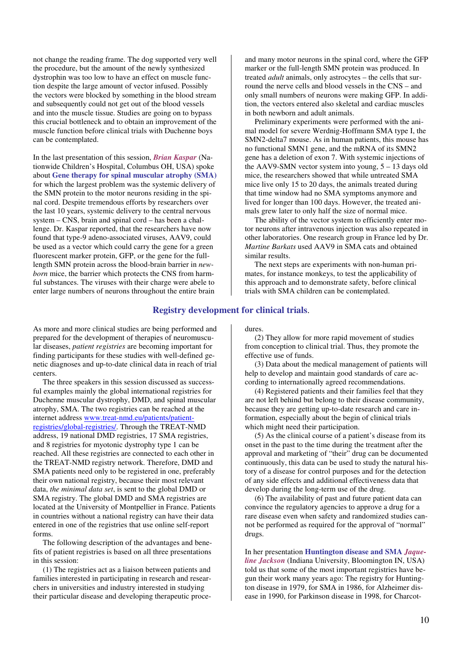not change the reading frame. The dog supported very well the procedure, but the amount of the newly synthesized dystrophin was too low to have an effect on muscle function despite the large amount of vector infused. Possibly the vectors were blocked by something in the blood stream and subsequently could not get out of the blood vessels and into the muscle tissue. Studies are going on to bypass this crucial bottleneck and to obtain an improvement of the muscle function before clinical trials with Duchenne boys can be contemplated.

In the last presentation of this session, *Brian Kaspar* (Nationwide Children's Hospital, Columbus OH, USA) spoke about **Gene therapy for spinal muscular atrophy (SMA)**  for which the largest problem was the systemic delivery of the SMN protein to the motor neurons residing in the spinal cord. Despite tremendous efforts by researchers over the last 10 years, systemic delivery to the central nervous system – CNS, brain and spinal cord – has been a challenge. Dr. Kaspar reported, that the researchers have now found that type-9 adeno-associated viruses, AAV9, could be used as a vector which could carry the gene for a green fluorescent marker protein, GFP, or the gene for the fulllength SMN protein across the blood-brain barrier in *newborn* mice, the barrier which protects the CNS from harmful substances. The viruses with their charge were abele to enter large numbers of neurons throughout the entire brain

and many motor neurons in the spinal cord, where the GFP marker or the full-length SMN protein was produced. In treated *adult* animals, only astrocytes – the cells that surround the nerve cells and blood vessels in the CNS – and only small numbers of neurons were making GFP. In addition, the vectors entered also skeletal and cardiac muscles in both newborn and adult animals.

 Preliminary experiments were performed with the animal model for severe Werdnig-Hoffmann SMA type I, the SMN2-delta7 mouse. As in human patients, this mouse has no functional SMN1 gene, and the mRNA of its SMN2 gene has a deletion of exon 7. With systemic injections of the AAV9-SMN vector system into young,  $5 - 13$  days old mice, the researchers showed that while untreated SMA mice live only 15 to 20 days, the animals treated during that time window had no SMA symptoms anymore and lived for longer than 100 days. However, the treated animals grew later to only half the size of normal mice.

 The ability of the vector system to efficiently enter motor neurons after intravenous injection was also repeated in other laboratories. One research group in France led by Dr. *Martine Barkats* used AAV9 in SMA cats and obtained similar results.

 The next steps are experiments with non-human primates, for instance monkeys, to test the applicability of this approach and to demonstrate safety, before clinical trials with SMA children can be contemplated.

# **Registry development for clinical trials**.

As more and more clinical studies are being performed and prepared for the development of therapies of neuromuscular diseases, *patient registries* are becoming important for finding participants for these studies with well-defined genetic diagnoses and up-to-date clinical data in reach of trial centers.

 The three speakers in this session discussed as successful examples mainly the global international registries for Duchenne muscular dystrophy, DMD, and spinal muscular atrophy, SMA. The two registries can be reached at the internet address www.treat-nmd.eu/patients/patientregistries/global-registries/. Through the TREAT-NMD address, 19 national DMD registries, 17 SMA registries, and 8 registries for myotonic dystrophy type 1 can be reached. All these registries are connected to each other in the TREAT-NMD registry network. Therefore, DMD and SMA patients need only to be registered in one, preferably their own national registry, because their most relevant data, *the minimal data set*, is sent to the global DMD or SMA registry. The global DMD and SMA registries are located at the University of Montpellier in France. Patients in countries without a national registry can have their data entered in one of the registries that use online self-report forms.

 The following description of the advantages and benefits of patient registries is based on all three presentations in this session:

 (1) The registries act as a liaison between patients and families interested in participating in research and researchers in universities and industry interested in studying their particular disease and developing therapeutic proce-

#### dures.

 (2) They allow for more rapid movement of studies from conception to clinical trial. Thus, they promote the effective use of funds.

 (3) Data about the medical management of patients will help to develop and maintain good standards of care according to internationally agreed recommendations.

 (4) Registered patients and their families feel that they are not left behind but belong to their disease community, because they are getting up-to-date research and care information, especially about the begin of clinical trials which might need their participation.

 (5) As the clinical course of a patient's disease from its onset in the past to the time during the treatment after the approval and marketing of "their" drug can be documented continuously, this data can be used to study the natural history of a disease for control purposes and for the detection of any side effects and additional effectiveness data that develop during the long-term use of the drug.

 (6) The availability of past and future patient data can convince the regulatory agencies to approve a drug for a rare disease even when safety and randomized studies cannot be performed as required for the approval of "normal" drugs.

In her presentation **Huntington disease and SMA** *Jaqueline Jackson* (Indiana University, Bloomington IN, USA) told us that some of the most important registries have begun their work many years ago: The registry for Huntington disease in 1979, for SMA in 1986, for Alzheimer disease in 1990, for Parkinson disease in 1998, for Charcot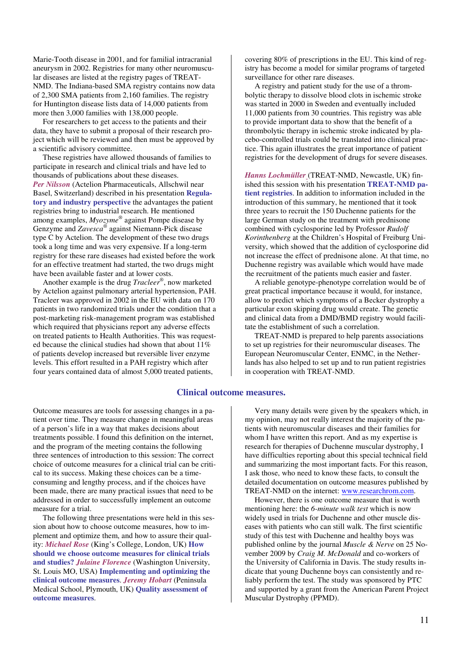Marie-Tooth disease in 2001, and for familial intracranial aneurysm in 2002. Registries for many other neuromuscular diseases are listed at the registry pages of TREAT-NMD. The Indiana-based SMA registry contains now data of 2,300 SMA patients from 2,160 families. The registry for Huntington disease lists data of 14,000 patients from more then 3,000 families with 138,000 people.

 For researchers to get access to the patients and their data, they have to submit a proposal of their research project which will be reviewed and then must be approved by a scientific advisory committee.

 These registries have allowed thousands of families to participate in research and clinical trials and have led to thousands of publications about these diseases. *Per Nilsson* (Actelion Pharmaceuticals, Allschwil near Basel, Switzerland) described in his presentation **Regulatory and industry perspective** the advantages the patient registries bring to industrial research. He mentioned among examples, *Myozyme®* against Pompe disease by Genzyme and *Zavesca®* against Niemann-Pick disease type C by Actelion. The development of these two drugs took a long time and was very expensive. If a long-term registry for these rare diseases had existed before the work for an effective treatment had started, the two drugs might have been available faster and at lower costs.

 Another example is the drug *Tracleer®* , now marketed by Actelion against pulmonary arterial hypertension, PAH. Tracleer was approved in 2002 in the EU with data on 170 patients in two randomized trials under the condition that a post-marketing risk-management program was established which required that physicians report any adverse effects on treated patients to Health Authorities. This was requested because the clinical studies had shown that about 11% of patients develop increased but reversible liver enzyme levels. This effort resulted in a PAH registry which after four years contained data of almost 5,000 treated patients,

covering 80% of prescriptions in the EU. This kind of registry has become a model for similar programs of targeted surveillance for other rare diseases.

 A registry and patient study for the use of a thrombolytic therapy to dissolve blood clots in ischemic stroke was started in 2000 in Sweden and eventually included 11,000 patients from 30 countries. This registry was able to provide important data to show that the benefit of a thrombolytic therapy in ischemic stroke indicated by placebo-controlled trials could be translated into clinical practice. This again illustrates the great importance of patient registries for the development of drugs for severe diseases.

*Hanns Lochmüller* (TREAT-NMD, Newcastle, UK) finished this session with his presentation **TREAT-NMD patient registries**. In addition to information included in the introduction of this summary, he mentioned that it took three years to recruit the 150 Duchenne patients for the large German study on the treatment with prednisone combined with cyclosporine led by Professor *Rudolf Korinthenberg* at the Children's Hospital of Freiburg University, which showed that the addition of cyclosporine did not increase the effect of prednisone alone. At that time, no Duchenne registry was available which would have made the recruitment of the patients much easier and faster.

 A reliable genotype-phenotype correlation would be of great practical importance because it would, for instance, allow to predict which symptoms of a Becker dystrophy a particular exon skipping drug would create. The genetic and clinical data from a DMD/BMD registry would facilitate the establishment of such a correlation.

 TREAT-NMD is prepared to help parents associations to set up registries for their neuromuscular diseases. The European Neuromuscular Center, ENMC, in the Netherlands has also helped to set up and to run patient registries in cooperation with TREAT-NMD.

### **Clinical outcome measures.**

Outcome measures are tools for assessing changes in a patient over time. They measure change in meaningful areas of a person's life in a way that makes decisions about treatments possible. I found this definition on the internet, and the program of the meeting contains the following three sentences of introduction to this session: The correct choice of outcome measures for a clinical trial can be critical to its success. Making these choices can be a timeconsuming and lengthy process, and if the choices have been made, there are many practical issues that need to be addressed in order to successfully implement an outcome measure for a trial.

 The following three presentations were held in this session about how to choose outcome measures, how to implement and optimize them, and how to assure their quality: *Michael Rose* (King's College, London, UK) **How should we choose outcome measures for clinical trials and studies?** *Julaine Florence* (Washington University, St. Louis MO, USA) **Implementing and optimizing the clinical outcome measures**. *Jeremy Hobart* (Peninsula Medical School, Plymouth, UK) **Quality assessment of outcome measures**.

 Very many details were given by the speakers which, in my opinion, may not really interest the majority of the patients with neuromuscular diseases and their families for whom I have written this report. And as my expertise is research for therapies of Duchenne muscular dystrophy, I have difficulties reporting about this special technical field and summarizing the most important facts. For this reason, I ask those, who need to know these facts, to consult the detailed documentation on outcome measures published by TREAT-NMD on the internet: www.researchrom.com.

 However, there is one outcome measure that is worth mentioning here: the *6-minute walk test* which is now widely used in trials for Duchenne and other muscle diseases with patients who can still walk. The first scientific study of this test with Duchenne and healthy boys was published online by the journal *Muscle & Nerve* on 25 November 2009 by *Craig M. McDonald* and co-workers of the University of California in Davis. The study results indicate that young Duchenne boys can consistently and reliably perform the test. The study was sponsored by PTC and supported by a grant from the American Parent Project Muscular Dystrophy (PPMD).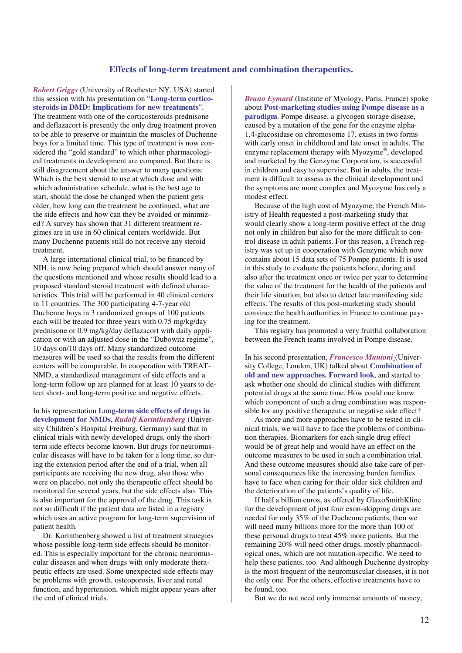# **Effects of long-term treatment and combination therapeutics.**

*Robert Griggs* (University of Rochester NY, USA) started this session with his presentation on "**Long-term corticosteroids in DMD: Implications for new treatments**". The treatment with one of the corticosteroids prednisone and deflazacort is presently the only drug treatment proven to be able to preserve or maintain the muscles of Duchenne boys for a limited time. This type of treatment is now considered the "gold standard" to which other pharmacological treatments in development are compared. But there is still disagreement about the answer to many questions: Which is the best steroid to use at which dose and with which administration schedule, what is the best age to start, should the dose be changed when the patient gets older, how long can the treatment be continued, what are the side effects and how can they be avoided or minimized? A survey has shown that 31 different treatment regimes are in use in 60 clinical centers worldwide. But many Duchenne patients still do not receive any steroid treatment.

 A large international clinical trial, to be financed by NIH, is now being prepared which should answer many of the questions mentioned and whose results should lead to a proposed standard steroid treatment with defined characteristics. This trial will be performed in 40 clinical centers in 11 countries. The 300 participating 4-7-year old Duchenne boys in 3 randomized groups of 100 patients each will be treated for three years with 0.75 mg/kg/day prednisone or 0.9 mg/kg/day deflazacort with daily application or with an adjusted dose in the "Dubowitz regime", 10 days on/10 days off. Many standardized outcome measures will be used so that the results from the different centers will be comparable. In cooperation with TREAT-NMD, a standardized management of side effects and a long-term follow up are planned for at least 10 years to detect short- and long-term positive and negative effects.

In his representation **Long-term side effects of drugs in development for NMDs**, *Rudolf Korinthenberg* (University Children's Hospital Freiburg, Germany) said that in clinical trials with newly developed drugs, only the shortterm side effects become known. But drugs for neuromuscular diseases will have to be taken for a long time, so during the extension period after the end of a trial, when all participants are receiving the new drug, also those who were on placebo, not only the therapeutic effect should be monitored for several years, but the side effects also. This is also important for the approval of the drug. This task is not so difficult if the patient data are listed in a registry which uses an active program for long-term supervision of patient health.

 Dr. Korinthenberg showed a list of treatment strategies whose possible long-term side effects should be monitored. This is especially important for the chronic neuromuscular diseases and when drugs with only moderate therapeutic effects are used. Some unexpected side effects may be problems with growth, osteoporosis, liver and renal function, and hypertension, which might appear years after the end of clinical trials.

*Bruno Eymard* (Institute of Myology, Paris, France) spoke about **Post-marketing studies using Pompe disease as a paradigm**. Pompe disease, a glycogen storage disease, caused by a mutation of the gene for the enzyme alpha-1,4-glucosidase on chromosome 17, exists in two forms with early onset in childhood and late onset in adults. The enzyme replacement therapy with Myozyme® , developed and marketed by the Genzyme Corporation, is successful in children and easy to supervise. But in adults, the treatment is difficult to assess as the clinical development and the symptoms are more complex and Myozyme has only a modest effect.

 Because of the high cost of Myozyme, the French Ministry of Health requested a post-marketing study that would clearly show a long-term positive effect of the drug not only in children but also for the more difficult to control disease in adult patients. For this reason, a French registry was set up in cooperation with Genzyme which now contains about 15 data sets of 75 Pompe patients. It is used in this study to evaluate the patients before, during and also after the treatment once or twice per year to determine the value of the treatment for the health of the patients and their life situation, but also to detect late manifesting side effects. The results of this post-marketing study should convince the health authorities in France to continue paying for the treatment.

 This registry has promoted a very fruitful collaboration between the French teams involved in Pompe disease.

In his second presentation, *Francesco Muntoni* (University College, London, UK) talked about **Combination of old and new approaches. Forward look**, and started to ask whether one should do clinical studies with different potential drugs at the same time. How could one know which component of such a drug combination was responsible for any positive therapeutic or negative side effect?

 As more and more approaches have to be tested in clinical trials, we will have to face the problems of combination therapies. Biomarkers for each single drug effect would be of great help and would have an effect on the outcome measures to be used in such a combination trial. And these outcome measures should also take care of personal consequences like the increasing burden families have to face when caring for their older sick children and the deterioration of the patients's quality of life.

 If half a billion euros, as offered by GlaxoSmithKline for the development of just four exon-skipping drugs are needed for only 35% of the Duchenne patients, then we will need many billions more for the more than 100 of these personal drugs to treat 45% more patients. But the remaining 20% will need other drugs, mostly pharmacological ones, which are not mutation-specific. We need to help these patients, too. And although Duchenne dystrophy is the most frequent of the neuromuscular diseases, it is not the only one. For the others, effective treatments have to be found, too.

But we do not need only immense amounts of money,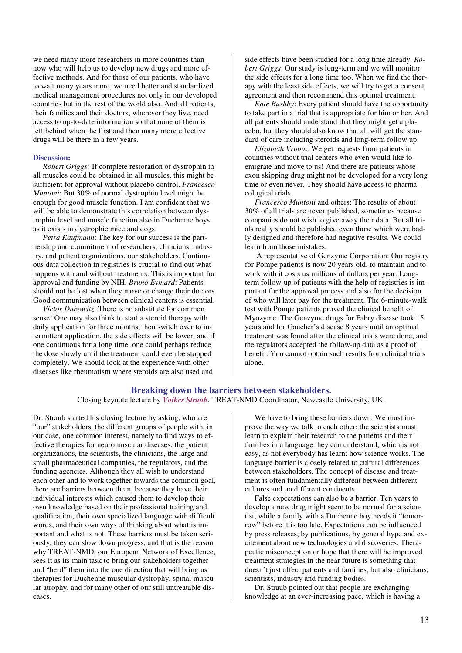we need many more researchers in more countries than now who will help us to develop new drugs and more effective methods. And for those of our patients, who have to wait many years more, we need better and standardized medical management procedures not only in our developed countries but in the rest of the world also. And all patients, their families and their doctors, wherever they live, need access to up-to-date information so that none of them is left behind when the first and then many more effective drugs will be there in a few years.

#### **Discussion:**

 *Robert Griggs:* If complete restoration of dystrophin in all muscles could be obtained in all muscles, this might be sufficient for approval without placebo control. *Francesco Muntoni*: But 30% of normal dystrophin level might be enough for good muscle function. I am confident that we will be able to demonstrate this correlation between dystrophin level and muscle function also in Duchenne boys as it exists in dystrophic mice and dogs.

 *Petra Kaufmann*: The key for our success is the partnership and commitment of researchers, clinicians, industry, and patient organizations, our stakeholders. Continuous data collection in registries is crucial to find out what happens with and without treatments. This is important for approval and funding by NIH. *Bruno Eymard*: Patients should not be lost when they move or change their doctors. Good communication between clinical centers is essential.

 *Victor Dubowitz*: There is no substitute for common sense! One may also think to start a steroid therapy with daily application for three months, then switch over to intermittent application, the side effects will be lower, and if one continuous for a long time, one could perhaps reduce the dose slowly until the treatment could even be stopped completely. We should look at the experience with other diseases like rheumatism where steroids are also used and

side effects have been studied for a long time already. *Robert Griggs*: Our study is long-term and we will monitor the side effects for a long time too. When we find the therapy with the least side effects, we will try to get a consent agreement and then recommend this optimal treatment.

 *Kate Bushby*: Every patient should have the opportunity to take part in a trial that is appropriate for him or her. And all patients should understand that they might get a placebo, but they should also know that all will get the standard of care including steroids and long-term follow up.

 *Elizabeth Vroom*: We get requests from patients in countries without trial centers who even would like to emigrate and move to us! And there are patients whose exon skipping drug might not be developed for a very long time or even never. They should have access to pharmacological trials.

 *Francesco Muntoni* and others: The results of about 30% of all trials are never published, sometimes because companies do not wish to give away their data. But all trials really should be published even those which were badly designed and therefore had negative results. We could learn from those mistakes.

 A representative of Genzyme Corporation: Our registry for Pompe patients is now 20 years old, to maintain and to work with it costs us millions of dollars per year. Longterm follow-up of patients with the help of registries is important for the approval process and also for the decision of who will later pay for the treatment. The 6-minute-walk test with Pompe patients proved the clinical benefit of Myozyme. The Genzyme drugs for Fabry disease took 15 years and for Gaucher's disease 8 years until an optimal treatment was found after the clinical trials were done, and the regulators accepted the follow-up data as a proof of benefit. You cannot obtain such results from clinical trials alone.

# **Breaking down the barriers between stakeholders.**

Closing keynote lecture by *Volker Straub*, TREAT-NMD Coordinator, Newcastle University, UK.

Dr. Straub started his closing lecture by asking, who are "our" stakeholders, the different groups of people with, in our case, one common interest, namely to find ways to effective therapies for neuromuscular diseases: the patient organizations, the scientists, the clinicians, the large and small pharmaceutical companies, the regulators, and the funding agencies. Although they all wish to understand each other and to work together towards the common goal, there are barriers between them, because they have their individual interests which caused them to develop their own knowledge based on their professional training and qualification, their own specialized language with difficult words, and their own ways of thinking about what is important and what is not. These barriers must be taken seriously, they can slow down progress, and that is the reason why TREAT-NMD, our European Network of Excellence, sees it as its main task to bring our stakeholders together and "herd" them into the one direction that will bring us therapies for Duchenne muscular dystrophy, spinal muscular atrophy, and for many other of our still untreatable diseases.

 We have to bring these barriers down. We must improve the way we talk to each other: the scientists must learn to explain their research to the patients and their families in a language they can understand, which is not easy, as not everybody has learnt how science works. The language barrier is closely related to cultural differences between stakeholders. The concept of disease and treatment is often fundamentally different between different cultures and on different continents.

 False expectations can also be a barrier. Ten years to develop a new drug might seem to be normal for a scientist, while a family with a Duchenne boy needs it "tomorrow" before it is too late. Expectations can be influenced by press releases, by publications, by general hype and excitement about new technologies and discoveries. Therapeutic misconception or hope that there will be improved treatment strategies in the near future is something that doesn't just affect patients and families, but also clinicians, scientists, industry and funding bodies.

 Dr. Straub pointed out that people are exchanging knowledge at an ever-increasing pace, which is having a